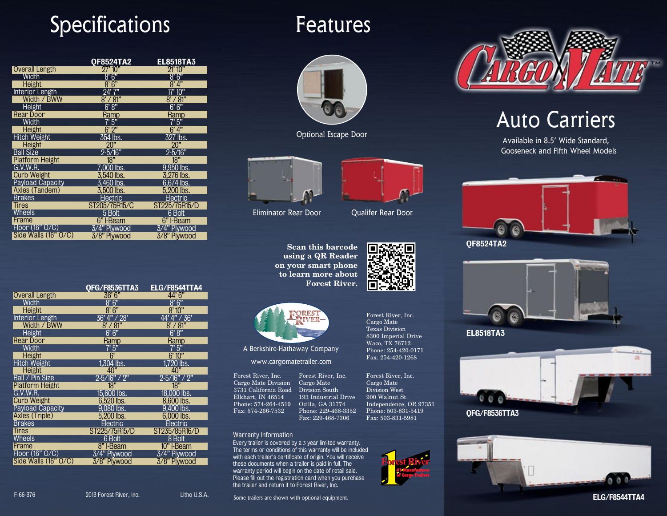# Specifications

|                        | <b>QF8524TA2</b>                 | <b>EL8518TA3</b>     |
|------------------------|----------------------------------|----------------------|
| <b>Overall Length</b>  | 27' 10"                          | 91' 10"              |
| Width                  | ጸ' 6"                            | ጸ' 6"                |
| Height                 | 8'6"                             | 8' 4"                |
| Interior Length        | 94' 7"                           | 17' 10"              |
| Width / BWW            | $8^\prime$ / $81^{\prime\prime}$ | $8^\prime/81^\prime$ |
| Height                 | 6' 8"                            | 6' 6"                |
| Rear Door              | Ramp                             | Kamp                 |
| Width                  | 5"                               | 5"                   |
| Height                 | 6'2''                            | 6'4"                 |
| Hitch Weight           | 354 lbs.                         | 327 lbs.             |
| Height                 | 20"                              | 20"                  |
| <b>Ball Size</b>       | 2-5/16"                          | $2 - 5/16"$          |
| <b>Platform Height</b> | 18"                              | 18"                  |
| G.V.W.R.               | 7.000 lbs.                       | 9.950 lbs.           |
| <b>Curb Weight</b>     | 3.540 lbs.                       | 3.276 lbs.           |
| Payload Capacity       | 3.460 lbs.                       | 6.674 lbs.           |
| Axles (Tandem)         | $3.500$ lbs.                     | 5.200 lbs.           |
| <b>Brakes</b>          | Electric                         | Electric             |
| <b>Tires</b>           | ST205/75R15/C                    | ST225/75R15/D        |
| Wheels                 | 5 Bolt                           | 6 Bolt               |
| Frame                  | 6" I-Beam                        | 6" I-Beam            |
| Floor (16" O/C)        | 3/4" Plywood                     | 3/4" Plywood         |
| Side Walls $(16" 0/C)$ | 3/8" Plywood                     | 3/8" Plywood         |

## Features



Optional Escape Door





Eliminator Rear Door Qualifer Rear Door

**Scan this barcode using a QR Reader to learn more about Forest River.**



Forest River, Inc. Cargo Mate Texas Division 8300 Imperial Drive Waco, TX 76712 Phone: 254-420-0171 Fax: 254-420-1268

**on your smart phone** 



A Berkshire-Hathaway Company

www.cargomatetrailer.com

Forest River, Inc. Cargo Mate Division 3731 California Road Division South Elkhart, IN 46514 Phone: 574-264-4519 Fax: 574-266-7532

Forest River, Inc. Cargo Mate 193 Industrial Drive Ocilla, GA 31774 Phone: 229-468-3352 Fax: 229-468-7306 Forest River, Inc. Cargo Mate Division West 900 Walnut St. Independence, OR 97351 Phone: 503-831-5419 Fax: 503-831-5981

Warranty Information

Every trailer is covered by a 3 year limited warranty. The terms or conditions of this warranty will be included with each trailer's certificate of origin. You will receive these documents when a trailer is paid in full. The warranty period will begin on the date of retail sale. Please fill out the registration card when you purchase the trailer and return it to Forest River, Inc.



# Auto Carriers

Available in 8.5' Wide Standard, Gooseneck and Fifth Wheel Models



EL8518TA3





ELG/F8544TTA4

|                                    | QFG/F8536TTA3      | <b>ELG/F8544TTA4</b> |
|------------------------------------|--------------------|----------------------|
| <b>Overall Length</b>              | 36'6''             | 44'6"                |
| Width                              | 8'6''              | 8'6''                |
| Height                             | 8'6''              | 8'10"                |
| <b>Interior Length</b>             | 36' 4'' / 28'      | 44' 4" / 36'         |
| Width / BWW                        | 8' / 81"           | 8' / 81"             |
| <b>Height</b>                      | 6'6"               | 6'8"                 |
| Rear Door                          | Ramp               | Ramp                 |
| Width                              | $\overline{7'5''}$ | 7'5'                 |
| Height                             | $\overline{6}$     | 6'10''               |
| <b>Hitch Weight</b>                | 1,304 lbs.         | 1.720 lbs.           |
| Height                             | 40"                | 40"                  |
| Ball / Pin Size                    | $2 - 5/16" / 2"$   | $2 - 5/16" / 2"$     |
| <b>Platform Height</b>             | 18"                | $\overline{18}$      |
| G.V.W.R.                           | 15,600 lbs.        | 18,000 lbs.          |
| <b>Curb Weight</b>                 | $6,520$ lbs.       | $8,600$ lbs.         |
| Payload Capacity<br>Axles (Triple) | 9,080 lbs.         | 9,400 lbs.           |
|                                    | $5,200$ lbs.       | $6,000$ lbs.         |
| <b>Brakes</b>                      | Electric           | Electric             |
| <b>Tires</b>                       | ST225/75R15/D      | ST235/85R16/D        |
| Wheels                             | 6 Bolt             | 8 Bolt               |
| Frame                              | 8" I-Beam          | 10" I-Beam           |
| Floor (16" O/C)                    | 3/4" Plywood       | 3/4" Plywood         |
| Side Walls (16" O/C)               | 3/8" Plywood       | 3/8" Plywood         |

F-66-376 2013 Forest River, Inc. Litho U.S.A.